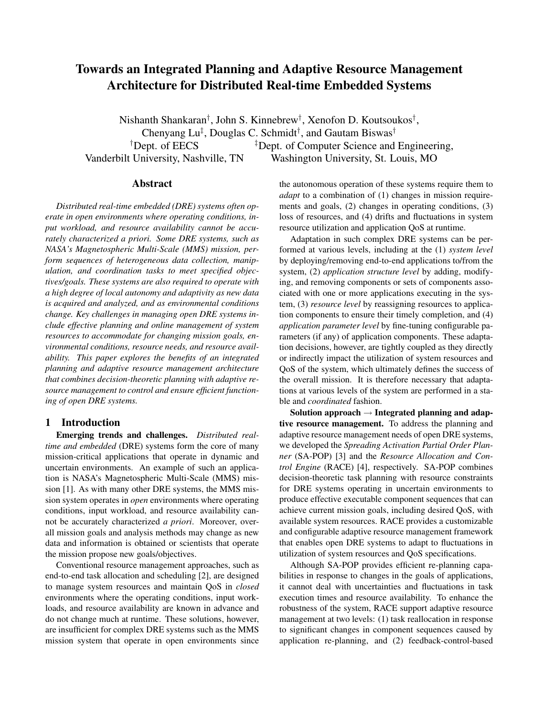# Towards an Integrated Planning and Adaptive Resource Management Architecture for Distributed Real-time Embedded Systems

Nishanth Shankaran<sup>†</sup>, John S. Kinnebrew<sup>†</sup>, Xenofon D. Koutsoukos<sup>†</sup>, Chenyang Lu<sup>‡</sup>, Douglas C. Schmidt<sup>†</sup>, and Gautam Biswas<sup>†</sup> <sup> $\dagger$ </sup>Dept. of EECS  $\qquad \qquad$   $\qquad \qquad$   $\qquad \qquad$   $\qquad \qquad$   $\qquad$   $\qquad \qquad$   $\qquad \qquad$   $\qquad \qquad$   $\qquad \qquad$   $\qquad \qquad$   $\qquad$   $\qquad \qquad$   $\qquad \qquad$   $\qquad$   $\qquad$   $\qquad$   $\qquad$   $\qquad$   $\qquad$   $\qquad$   $\qquad$   $\qquad$   $\qquad$   $\qquad$   $\qquad$   $\qquad$   $\qquad$   $\qquad$  Vanderbilt University, Nashville, TN Washington University, St. Louis, MO

# Abstract

*Distributed real-time embedded (DRE) systems often operate in open environments where operating conditions, input workload, and resource availability cannot be accurately characterized a priori. Some DRE systems, such as NASA's Magnetospheric Multi-Scale (MMS) mission, perform sequences of heterogeneous data collection, manipulation, and coordination tasks to meet specified objectives/goals. These systems are also required to operate with a high degree of local autonomy and adaptivity as new data is acquired and analyzed, and as environmental conditions change. Key challenges in managing open DRE systems include effective planning and online management of system resources to accommodate for changing mission goals, environmental conditions, resource needs, and resource availability. This paper explores the benefits of an integrated planning and adaptive resource management architecture that combines decision-theoretic planning with adaptive resource management to control and ensure efficient functioning of open DRE systems.*

## 1 Introduction

Emerging trends and challenges. *Distributed realtime and embedded* (DRE) systems form the core of many mission-critical applications that operate in dynamic and uncertain environments. An example of such an application is NASA's Magnetospheric Multi-Scale (MMS) mission [1]. As with many other DRE systems, the MMS mission system operates in *open* environments where operating conditions, input workload, and resource availability cannot be accurately characterized *a priori*. Moreover, overall mission goals and analysis methods may change as new data and information is obtained or scientists that operate the mission propose new goals/objectives.

Conventional resource management approaches, such as end-to-end task allocation and scheduling [2], are designed to manage system resources and maintain QoS in *closed* environments where the operating conditions, input workloads, and resource availability are known in advance and do not change much at runtime. These solutions, however, are insufficient for complex DRE systems such as the MMS mission system that operate in open environments since

the autonomous operation of these systems require them to *adapt* to a combination of (1) changes in mission requirements and goals, (2) changes in operating conditions, (3) loss of resources, and (4) drifts and fluctuations in system resource utilization and application QoS at runtime.

Adaptation in such complex DRE systems can be performed at various levels, including at the (1) *system level* by deploying/removing end-to-end applications to/from the system, (2) *application structure level* by adding, modifying, and removing components or sets of components associated with one or more applications executing in the system, (3) *resource level* by reassigning resources to application components to ensure their timely completion, and (4) *application parameter level* by fine-tuning configurable parameters (if any) of application components. These adaptation decisions, however, are tightly coupled as they directly or indirectly impact the utilization of system resources and QoS of the system, which ultimately defines the success of the overall mission. It is therefore necessary that adaptations at various levels of the system are performed in a stable and *coordinated* fashion.

Solution approach  $\rightarrow$  Integrated planning and adaptive resource management. To address the planning and adaptive resource management needs of open DRE systems, we developed the *Spreading Activation Partial Order Planner* (SA-POP) [3] and the *Resource Allocation and Control Engine* (RACE) [4], respectively. SA-POP combines decision-theoretic task planning with resource constraints for DRE systems operating in uncertain environments to produce effective executable component sequences that can achieve current mission goals, including desired QoS, with available system resources. RACE provides a customizable and configurable adaptive resource management framework that enables open DRE systems to adapt to fluctuations in utilization of system resources and QoS specifications.

Although SA-POP provides efficient re-planning capabilities in response to changes in the goals of applications, it cannot deal with uncertainties and fluctuations in task execution times and resource availability. To enhance the robustness of the system, RACE support adaptive resource management at two levels: (1) task reallocation in response to significant changes in component sequences caused by application re-planning, and (2) feedback-control-based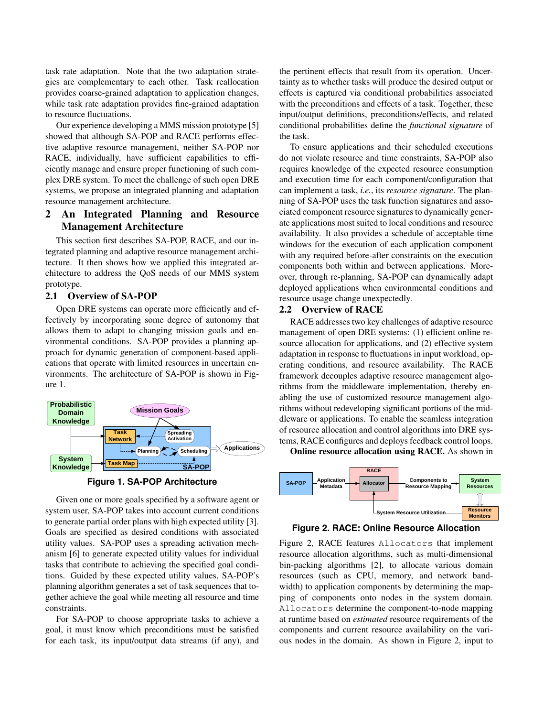task rate adaptation. Note that the two adaptation strategies are complementary to each other. Task reallocation provides coarse-grained adaptation to application changes, while task rate adaptation provides fine-grained adaptation to resource fluctuations.

Our experience developing a MMS mission prototype [5] showed that although SA-POP and RACE performs effective adaptive resource management, neither SA-POP nor RACE, individually, have sufficient capabilities to efficiently manage and ensure proper functioning of such complex DRE system. To meet the challenge of such open DRE systems, we propose an integrated planning and adaptation resource management architecture.

# 2 An Integrated Planning and Resource Management Architecture

This section first describes SA-POP, RACE, and our integrated planning and adaptive resource management architecture. It then shows how we applied this integrated architecture to address the QoS needs of our MMS system prototype.

#### 2.1 Overview of SA-POP

Open DRE systems can operate more efficiently and effectively by incorporating some degree of autonomy that allows them to adapt to changing mission goals and environmental conditions. SA-POP provides a planning approach for dynamic generation of component-based applications that operate with limited resources in uncertain environments. The architecture of SA-POP is shown in Figure 1.



**Figure 1. SA-POP Architecture**

Given one or more goals specified by a software agent or system user, SA-POP takes into account current conditions to generate partial order plans with high expected utility [3]. Goals are specified as desired conditions with associated utility values. SA-POP uses a spreading activation mechanism [6] to generate expected utility values for individual tasks that contribute to achieving the specified goal conditions. Guided by these expected utility values, SA-POP's planning algorithm generates a set of task sequences that together achieve the goal while meeting all resource and time constraints.

For SA-POP to choose appropriate tasks to achieve a goal, it must know which preconditions must be satisfied for each task, its input/output data streams (if any), and the pertinent effects that result from its operation. Uncertainty as to whether tasks will produce the desired output or effects is captured via conditional probabilities associated with the preconditions and effects of a task. Together, these input/output definitions, preconditions/effects, and related conditional probabilities define the *functional signature* of the task.

To ensure applications and their scheduled executions do not violate resource and time constraints, SA-POP also requires knowledge of the expected resource consumption and execution time for each component/configuration that can implement a task, *i.e.*, its *resource signature*. The planning of SA-POP uses the task function signatures and associated component resource signatures to dynamically generate applications most suited to local conditions and resource availability. It also provides a schedule of acceptable time windows for the execution of each application component with any required before-after constraints on the execution components both within and between applications. Moreover, through re-planning, SA-POP can dynamically adapt deployed applications when environmental conditions and resource usage change unexpectedly.

#### 2.2 Overview of RACE

RACE addresses two key challenges of adaptive resource management of open DRE systems: (1) efficient online resource allocation for applications, and (2) effective system adaptation in response to fluctuations in input workload, operating conditions, and resource availability. The RACE framework decouples adaptive resource management algorithms from the middleware implementation, thereby enabling the use of customized resource management algorithms without redeveloping significant portions of the middleware or applications. To enable the seamless integration of resource allocation and control algorithms into DRE systems, RACE configures and deploys feedback control loops.

Online resource allocation using RACE. As shown in



**Figure 2. RACE: Online Resource Allocation**

Figure 2, RACE features Allocators that implement resource allocation algorithms, such as multi-dimensional bin-packing algorithms [2], to allocate various domain resources (such as CPU, memory, and network bandwidth) to application components by determining the mapping of components onto nodes in the system domain. Allocators determine the component-to-node mapping at runtime based on *estimated* resource requirements of the components and current resource availability on the various nodes in the domain. As shown in Figure 2, input to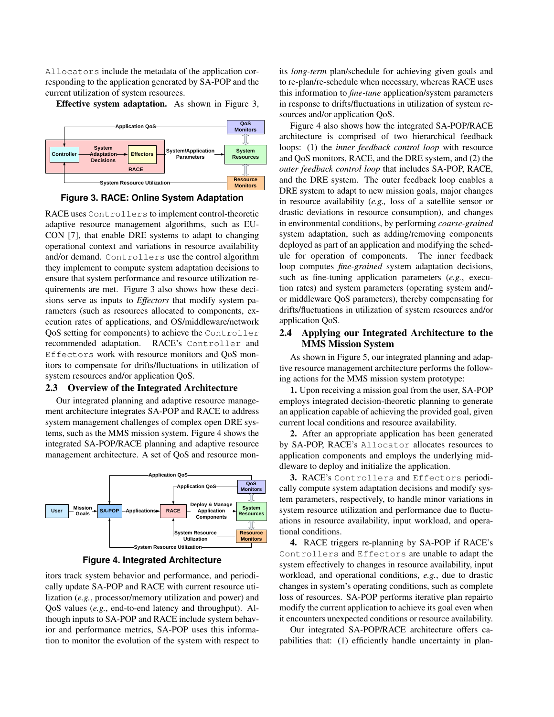Allocators include the metadata of the application corresponding to the application generated by SA-POP and the current utilization of system resources.

Effective system adaptation. As shown in Figure 3,



**Figure 3. RACE: Online System Adaptation**

RACE uses Controllers to implement control-theoretic adaptive resource management algorithms, such as EU-CON [7], that enable DRE systems to adapt to changing operational context and variations in resource availability and/or demand. Controllers use the control algorithm they implement to compute system adaptation decisions to ensure that system performance and resource utilization requirements are met. Figure 3 also shows how these decisions serve as inputs to *Effectors* that modify system parameters (such as resources allocated to components, execution rates of applications, and OS/middleware/network QoS setting for components) to achieve the Controller recommended adaptation. RACE's Controller and Effectors work with resource monitors and QoS monitors to compensate for drifts/fluctuations in utilization of system resources and/or application QoS.

# 2.3 Overview of the Integrated Architecture

Our integrated planning and adaptive resource management architecture integrates SA-POP and RACE to address system management challenges of complex open DRE systems, such as the MMS mission system. Figure 4 shows the integrated SA-POP/RACE planning and adaptive resource management architecture. A set of QoS and resource mon-



**Figure 4. Integrated Architecture**

itors track system behavior and performance, and periodically update SA-POP and RACE with current resource utilization (*e.g.*, processor/memory utilization and power) and QoS values (*e.g.*, end-to-end latency and throughput). Although inputs to SA-POP and RACE include system behavior and performance metrics, SA-POP uses this information to monitor the evolution of the system with respect to its *long-term* plan/schedule for achieving given goals and to re-plan/re-schedule when necessary, whereas RACE uses this information to *fine-tune* application/system parameters in response to drifts/fluctuations in utilization of system resources and/or application QoS.

Figure 4 also shows how the integrated SA-POP/RACE architecture is comprised of two hierarchical feedback loops: (1) the *inner feedback control loop* with resource and QoS monitors, RACE, and the DRE system, and (2) the *outer feedback control loop* that includes SA-POP, RACE, and the DRE system. The outer feedback loop enables a DRE system to adapt to new mission goals, major changes in resource availability (*e.g.,* loss of a satellite sensor or drastic deviations in resource consumption), and changes in environmental conditions, by performing *coarse-grained* system adaptation, such as adding/removing components deployed as part of an application and modifying the schedule for operation of components. The inner feedback loop computes *fine-grained* system adaptation decisions, such as fine-tuning application parameters (*e.g.*, execution rates) and system parameters (operating system and/ or middleware QoS parameters), thereby compensating for drifts/fluctuations in utilization of system resources and/or application QoS.

# 2.4 Applying our Integrated Architecture to the MMS Mission System

As shown in Figure 5, our integrated planning and adaptive resource management architecture performs the following actions for the MMS mission system prototype:

1. Upon receiving a mission goal from the user, SA-POP employs integrated decision-theoretic planning to generate an application capable of achieving the provided goal, given current local conditions and resource availability.

2. After an appropriate application has been generated by SA-POP, RACE's Allocator allocates resources to application components and employs the underlying middleware to deploy and initialize the application.

3. RACE's Controllers and Effectors periodically compute system adaptation decisions and modify system parameters, respectively, to handle minor variations in system resource utilization and performance due to fluctuations in resource availability, input workload, and operational conditions.

4. RACE triggers re-planning by SA-POP if RACE's Controllers and Effectors are unable to adapt the system effectively to changes in resource availability, input workload, and operational conditions, *e.g.*, due to drastic changes in system's operating conditions, such as complete loss of resources. SA-POP performs iterative plan repairto modify the current application to achieve its goal even when it encounters unexpected conditions or resource availability.

Our integrated SA-POP/RACE architecture offers capabilities that: (1) efficiently handle uncertainty in plan-